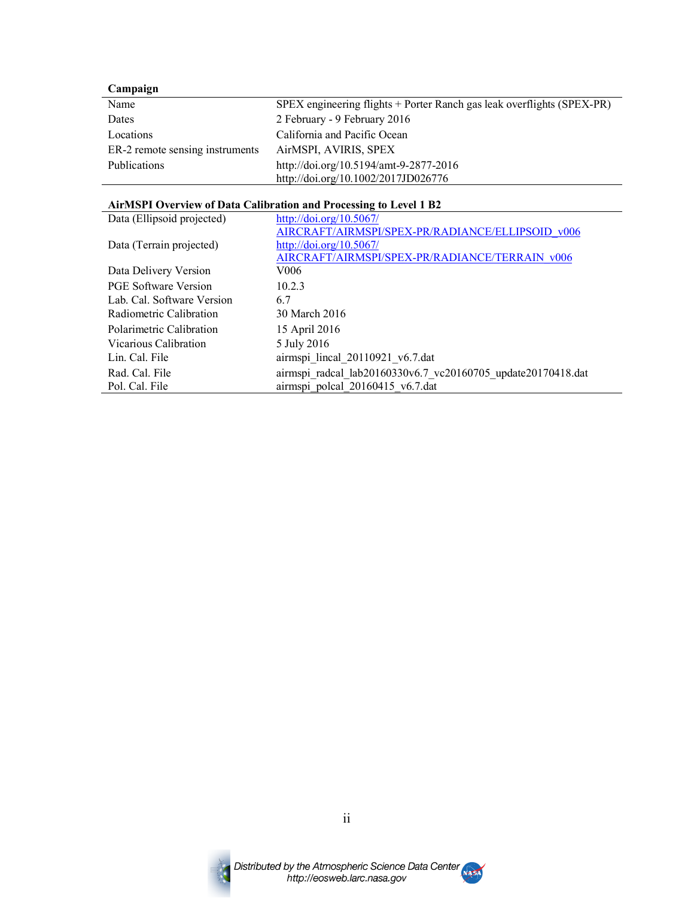## **Campaign**

| Name                            | SPEX engineering flights + Porter Ranch gas leak overflights (SPEX-PR) |
|---------------------------------|------------------------------------------------------------------------|
| Dates                           | 2 February - 9 February 2016                                           |
| Locations                       | California and Pacific Ocean                                           |
| ER-2 remote sensing instruments | AirMSPI, AVIRIS, SPEX                                                  |
| <b>Publications</b>             | http://doi.org/10.5194/amt-9-2877-2016                                 |
|                                 | http://doi.org/10.1002/2017JD026776                                    |

#### **AirMSPI Overview of Data Calibration and Processing to Level 1 B2**

| Data (Ellipsoid projected)  | http://doi.org/10.5067/                                      |
|-----------------------------|--------------------------------------------------------------|
|                             | AIRCRAFT/AIRMSPI/SPEX-PR/RADIANCE/ELLIPSOID v006             |
| Data (Terrain projected)    | http://doi.org/10.5067/                                      |
|                             | AIRCRAFT/AIRMSPI/SPEX-PR/RADIANCE/TERRAIN v006               |
| Data Delivery Version       | V006                                                         |
| <b>PGE Software Version</b> | 1023                                                         |
| Lab. Cal. Software Version  | 6.7                                                          |
| Radiometric Calibration     | 30 March 2016                                                |
| Polarimetric Calibration    | 15 April 2016                                                |
| Vicarious Calibration       | 5 July 2016                                                  |
| Lin. Cal. File              | airmspi lineal 20110921 v6.7.dat                             |
| Rad. Cal. File              | airmspi radcal lab20160330v6.7_vc20160705_update20170418.dat |
| Pol. Cal. File              | airmspi polcal 20160415 v6.7.dat                             |



ii

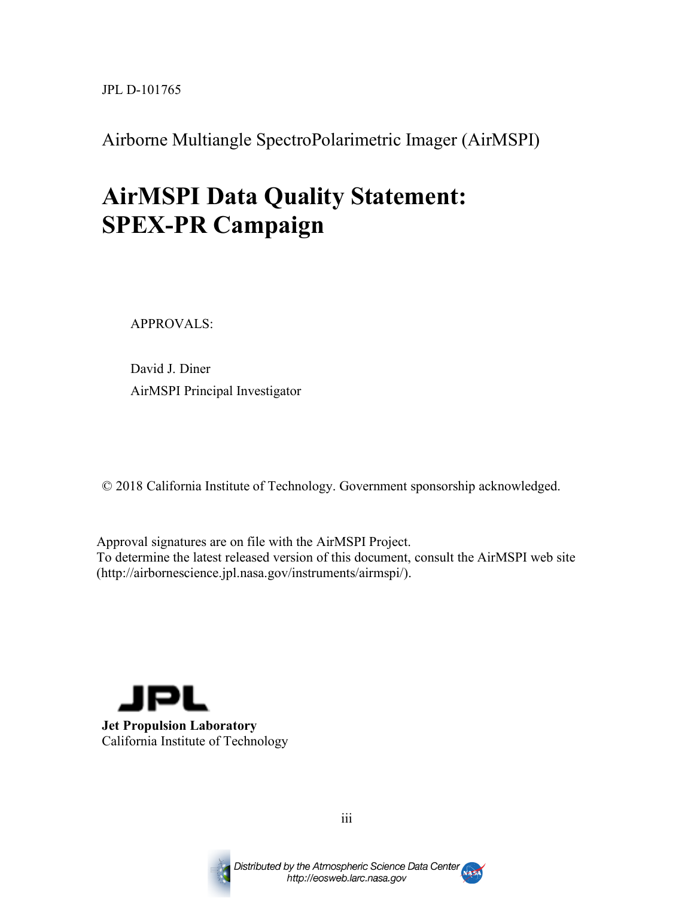JPL D-101765

Airborne Multiangle SpectroPolarimetric Imager (AirMSPI)

# **AirMSPI Data Quality Statement: SPEX-PR Campaign**

APPROVALS:

David J. Diner AirMSPI Principal Investigator

© 2018 California Institute of Technology. Government sponsorship acknowledged.

Approval signatures are on file with the AirMSPI Project. To determine the latest released version of this document, consult the AirMSPI web site (http://airbornescience.jpl.nasa.gov/instruments/airmspi/).





iii

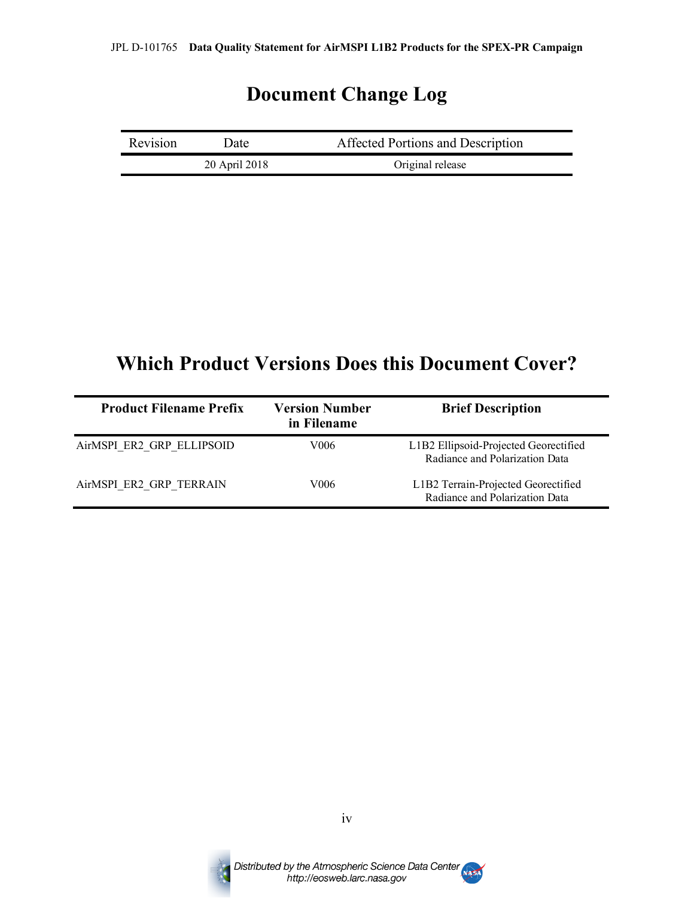### **Document Change Log**

| Revision | Date !        | Affected Portions and Description |
|----------|---------------|-----------------------------------|
|          | 20 April 2018 | Original release                  |

### **Which Product Versions Does this Document Cover?**

| <b>Product Filename Prefix</b> | <b>Version Number</b><br>in Filename | <b>Brief Description</b>                                                |
|--------------------------------|--------------------------------------|-------------------------------------------------------------------------|
| AirMSPI ER2 GRP ELLIPSOID      | V006                                 | L1B2 Ellipsoid-Projected Georectified<br>Radiance and Polarization Data |
| AirMSPI ER2 GRP TERRAIN        | V006                                 | L1B2 Terrain-Projected Georectified<br>Radiance and Polarization Data   |



iv

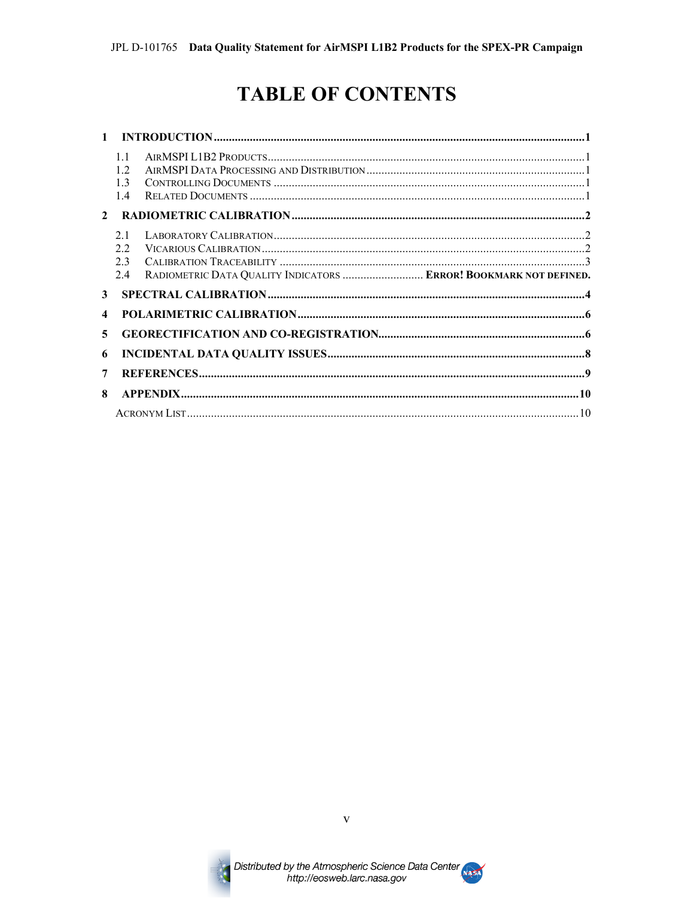# **TABLE OF CONTENTS**

| $\mathbf{1}$            |                                   |                                                                   |  |
|-------------------------|-----------------------------------|-------------------------------------------------------------------|--|
|                         | 11<br>12<br>1 <sup>3</sup><br>1.4 |                                                                   |  |
| $\mathbf{2}$            |                                   |                                                                   |  |
|                         | 2.1<br>22<br>2.3<br>2.4           | RADIOMETRIC DATA QUALITY INDICATORS  ERROR! BOOKMARK NOT DEFINED. |  |
| 3                       |                                   |                                                                   |  |
| $\overline{\mathbf{4}}$ |                                   |                                                                   |  |
| 5                       |                                   |                                                                   |  |
| 6                       |                                   |                                                                   |  |
| 7                       |                                   |                                                                   |  |
| 8                       |                                   |                                                                   |  |
|                         |                                   |                                                                   |  |



 $\overline{\mathbf{V}}$ 

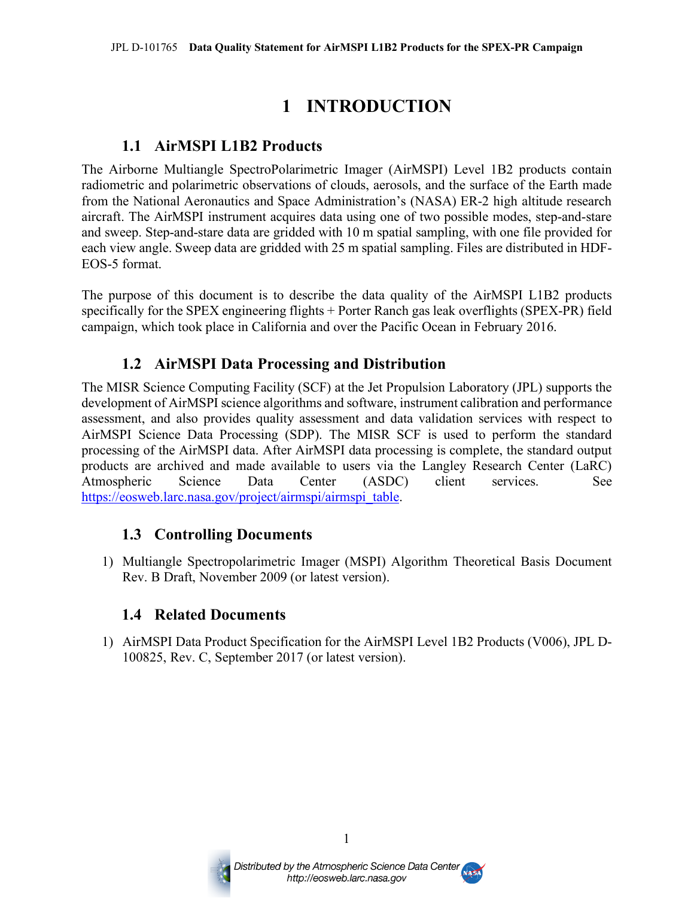### **1 INTRODUCTION**

#### **1.1 AirMSPI L1B2 Products**

The Airborne Multiangle SpectroPolarimetric Imager (AirMSPI) Level 1B2 products contain radiometric and polarimetric observations of clouds, aerosols, and the surface of the Earth made from the National Aeronautics and Space Administration's (NASA) ER-2 high altitude research aircraft. The AirMSPI instrument acquires data using one of two possible modes, step-and-stare and sweep. Step-and-stare data are gridded with 10 m spatial sampling, with one file provided for each view angle. Sweep data are gridded with 25 m spatial sampling. Files are distributed in HDF-EOS-5 format.

The purpose of this document is to describe the data quality of the AirMSPI L1B2 products specifically for the SPEX engineering flights + Porter Ranch gas leak overflights (SPEX-PR) field campaign, which took place in California and over the Pacific Ocean in February 2016.

#### **1.2 AirMSPI Data Processing and Distribution**

The MISR Science Computing Facility (SCF) at the Jet Propulsion Laboratory (JPL) supports the development of AirMSPI science algorithms and software, instrument calibration and performance assessment, and also provides quality assessment and data validation services with respect to AirMSPI Science Data Processing (SDP). The MISR SCF is used to perform the standard processing of the AirMSPI data. After AirMSPI data processing is complete, the standard output products are archived and made available to users via the Langley Research Center (LaRC) Atmospheric Science Data Center (ASDC) client services. See https://eosweb.larc.nasa.gov/project/airmspi/airmspi\_table.

#### **1.3 Controlling Documents**

1) Multiangle Spectropolarimetric Imager (MSPI) Algorithm Theoretical Basis Document Rev. B Draft, November 2009 (or latest version).

#### **1.4 Related Documents**

1) AirMSPI Data Product Specification for the AirMSPI Level 1B2 Products (V006), JPL D-100825, Rev. C, September 2017 (or latest version).



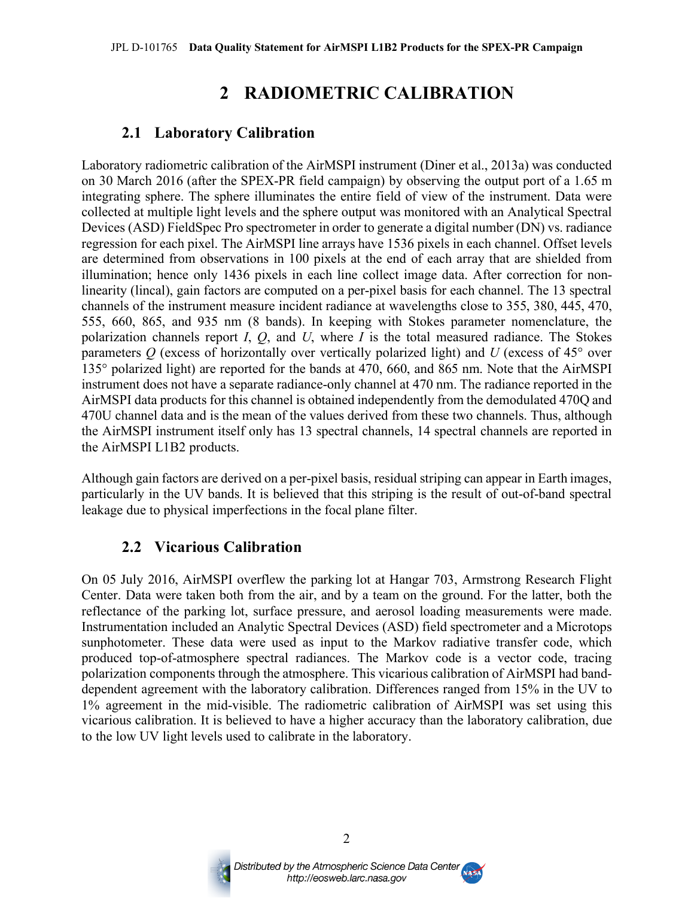### **2 RADIOMETRIC CALIBRATION**

#### **2.1 Laboratory Calibration**

Laboratory radiometric calibration of the AirMSPI instrument (Diner et al., 2013a) was conducted on 30 March 2016 (after the SPEX-PR field campaign) by observing the output port of a 1.65 m integrating sphere. The sphere illuminates the entire field of view of the instrument. Data were collected at multiple light levels and the sphere output was monitored with an Analytical Spectral Devices (ASD) FieldSpec Pro spectrometer in order to generate a digital number (DN) vs. radiance regression for each pixel. The AirMSPI line arrays have 1536 pixels in each channel. Offset levels are determined from observations in 100 pixels at the end of each array that are shielded from illumination; hence only 1436 pixels in each line collect image data. After correction for nonlinearity (lincal), gain factors are computed on a per-pixel basis for each channel. The 13 spectral channels of the instrument measure incident radiance at wavelengths close to 355, 380, 445, 470, 555, 660, 865, and 935 nm (8 bands). In keeping with Stokes parameter nomenclature, the polarization channels report *I*, *Q*, and *U*, where *I* is the total measured radiance. The Stokes parameters *Q* (excess of horizontally over vertically polarized light) and *U* (excess of 45° over 135° polarized light) are reported for the bands at 470, 660, and 865 nm. Note that the AirMSPI instrument does not have a separate radiance-only channel at 470 nm. The radiance reported in the AirMSPI data products for this channel is obtained independently from the demodulated 470Q and 470U channel data and is the mean of the values derived from these two channels. Thus, although the AirMSPI instrument itself only has 13 spectral channels, 14 spectral channels are reported in the AirMSPI L1B2 products.

Although gain factors are derived on a per-pixel basis, residual striping can appear in Earth images, particularly in the UV bands. It is believed that this striping is the result of out-of-band spectral leakage due to physical imperfections in the focal plane filter.

#### **2.2 Vicarious Calibration**

On 05 July 2016, AirMSPI overflew the parking lot at Hangar 703, Armstrong Research Flight Center. Data were taken both from the air, and by a team on the ground. For the latter, both the reflectance of the parking lot, surface pressure, and aerosol loading measurements were made. Instrumentation included an Analytic Spectral Devices (ASD) field spectrometer and a Microtops sunphotometer. These data were used as input to the Markov radiative transfer code, which produced top-of-atmosphere spectral radiances. The Markov code is a vector code, tracing polarization components through the atmosphere. This vicarious calibration of AirMSPI had banddependent agreement with the laboratory calibration. Differences ranged from 15% in the UV to 1% agreement in the mid-visible. The radiometric calibration of AirMSPI was set using this vicarious calibration. It is believed to have a higher accuracy than the laboratory calibration, due to the low UV light levels used to calibrate in the laboratory.



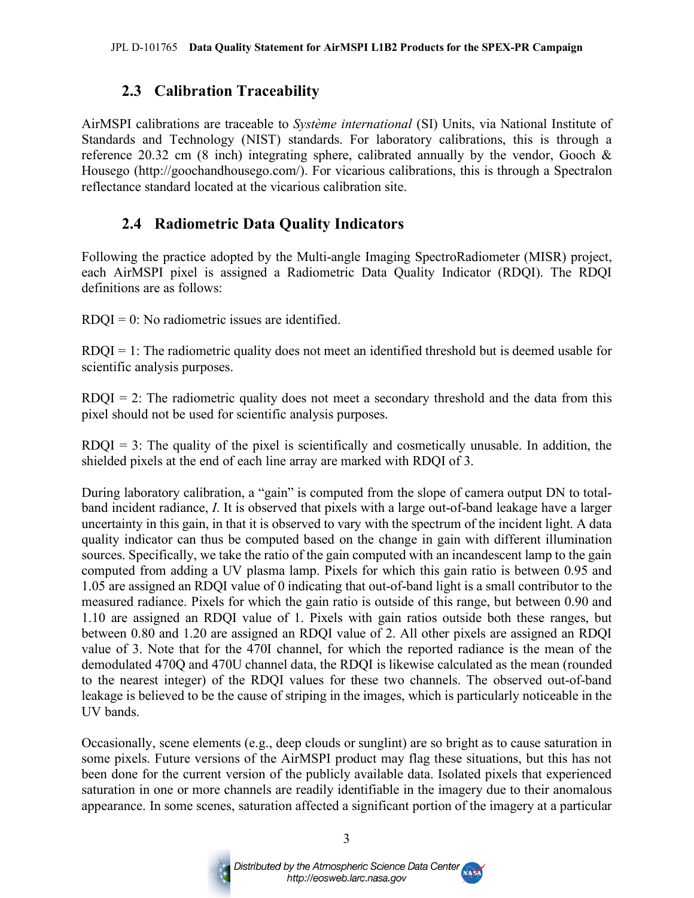#### **2.3 Calibration Traceability**

AirMSPI calibrations are traceable to *Système international* (SI) Units, via National Institute of Standards and Technology (NIST) standards. For laboratory calibrations, this is through a reference 20.32 cm (8 inch) integrating sphere, calibrated annually by the vendor, Gooch & Housego (http://goochandhousego.com/). For vicarious calibrations, this is through a Spectralon reflectance standard located at the vicarious calibration site.

#### **2.4 Radiometric Data Quality Indicators**

Following the practice adopted by the Multi-angle Imaging SpectroRadiometer (MISR) project, each AirMSPI pixel is assigned a Radiometric Data Quality Indicator (RDQI). The RDQI definitions are as follows:

 $RDOI = 0$ : No radiometric issues are identified.

 $RDQI = 1$ : The radiometric quality does not meet an identified threshold but is deemed usable for scientific analysis purposes.

 $RDQI = 2$ : The radiometric quality does not meet a secondary threshold and the data from this pixel should not be used for scientific analysis purposes.

RDQI = 3: The quality of the pixel is scientifically and cosmetically unusable. In addition, the shielded pixels at the end of each line array are marked with RDQI of 3.

During laboratory calibration, a "gain" is computed from the slope of camera output DN to totalband incident radiance, *I*. It is observed that pixels with a large out-of-band leakage have a larger uncertainty in this gain, in that it is observed to vary with the spectrum of the incident light. A data quality indicator can thus be computed based on the change in gain with different illumination sources. Specifically, we take the ratio of the gain computed with an incandescent lamp to the gain computed from adding a UV plasma lamp. Pixels for which this gain ratio is between 0.95 and 1.05 are assigned an RDQI value of 0 indicating that out-of-band light is a small contributor to the measured radiance. Pixels for which the gain ratio is outside of this range, but between 0.90 and 1.10 are assigned an RDQI value of 1. Pixels with gain ratios outside both these ranges, but between 0.80 and 1.20 are assigned an RDQI value of 2. All other pixels are assigned an RDQI value of 3. Note that for the 470I channel, for which the reported radiance is the mean of the demodulated 470Q and 470U channel data, the RDQI is likewise calculated as the mean (rounded to the nearest integer) of the RDQI values for these two channels. The observed out-of-band leakage is believed to be the cause of striping in the images, which is particularly noticeable in the UV bands.

Occasionally, scene elements (e.g., deep clouds or sunglint) are so bright as to cause saturation in some pixels. Future versions of the AirMSPI product may flag these situations, but this has not been done for the current version of the publicly available data. Isolated pixels that experienced saturation in one or more channels are readily identifiable in the imagery due to their anomalous appearance. In some scenes, saturation affected a significant portion of the imagery at a particular



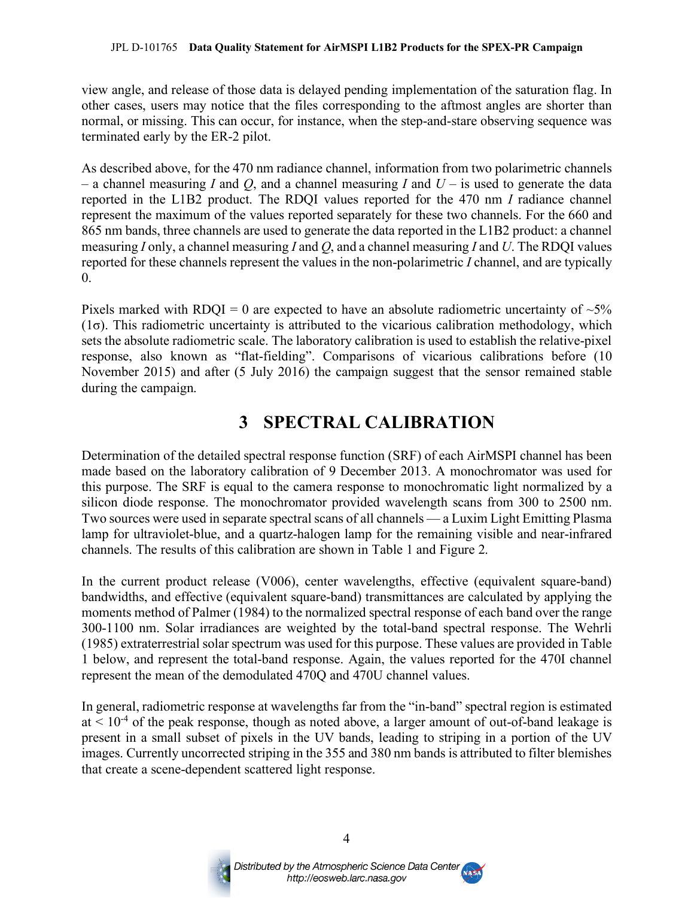#### JPL D-101765 **Data Quality Statement for AirMSPI L1B2 Products for the SPEX-PR Campaign**

view angle, and release of those data is delayed pending implementation of the saturation flag. In other cases, users may notice that the files corresponding to the aftmost angles are shorter than normal, or missing. This can occur, for instance, when the step-and-stare observing sequence was terminated early by the ER-2 pilot.

As described above, for the 470 nm radiance channel, information from two polarimetric channels – a channel measuring *I* and *Q*, and a channel measuring *I* and *U* – is used to generate the data reported in the L1B2 product. The RDQI values reported for the 470 nm *I* radiance channel represent the maximum of the values reported separately for these two channels. For the 660 and 865 nm bands, three channels are used to generate the data reported in the L1B2 product: a channel measuring *I* only, a channel measuring *I* and *Q*, and a channel measuring *I* and *U*. The RDQI values reported for these channels represent the values in the non-polarimetric *I* channel, and are typically 0.

Pixels marked with RDQI = 0 are expected to have an absolute radiometric uncertainty of  $\sim$ 5%  $(1\sigma)$ . This radiometric uncertainty is attributed to the vicarious calibration methodology, which sets the absolute radiometric scale. The laboratory calibration is used to establish the relative-pixel response, also known as "flat-fielding". Comparisons of vicarious calibrations before (10 November 2015) and after (5 July 2016) the campaign suggest that the sensor remained stable during the campaign.

### **3 SPECTRAL CALIBRATION**

Determination of the detailed spectral response function (SRF) of each AirMSPI channel has been made based on the laboratory calibration of 9 December 2013. A monochromator was used for this purpose. The SRF is equal to the camera response to monochromatic light normalized by a silicon diode response. The monochromator provided wavelength scans from 300 to 2500 nm. Two sources were used in separate spectral scans of all channels — a Luxim Light Emitting Plasma lamp for ultraviolet-blue, and a quartz-halogen lamp for the remaining visible and near-infrared channels. The results of this calibration are shown in Table 1 and Figure 2.

In the current product release (V006), center wavelengths, effective (equivalent square-band) bandwidths, and effective (equivalent square-band) transmittances are calculated by applying the moments method of Palmer (1984) to the normalized spectral response of each band over the range 300-1100 nm. Solar irradiances are weighted by the total-band spectral response. The Wehrli (1985) extraterrestrial solar spectrum was used for this purpose. These values are provided in Table 1 below, and represent the total-band response. Again, the values reported for the 470I channel represent the mean of the demodulated 470Q and 470U channel values.

In general, radiometric response at wavelengths far from the "in-band" spectral region is estimated  $at < 10^{-4}$  of the peak response, though as noted above, a larger amount of out-of-band leakage is present in a small subset of pixels in the UV bands, leading to striping in a portion of the UV images. Currently uncorrected striping in the 355 and 380 nm bands is attributed to filter blemishes that create a scene-dependent scattered light response.



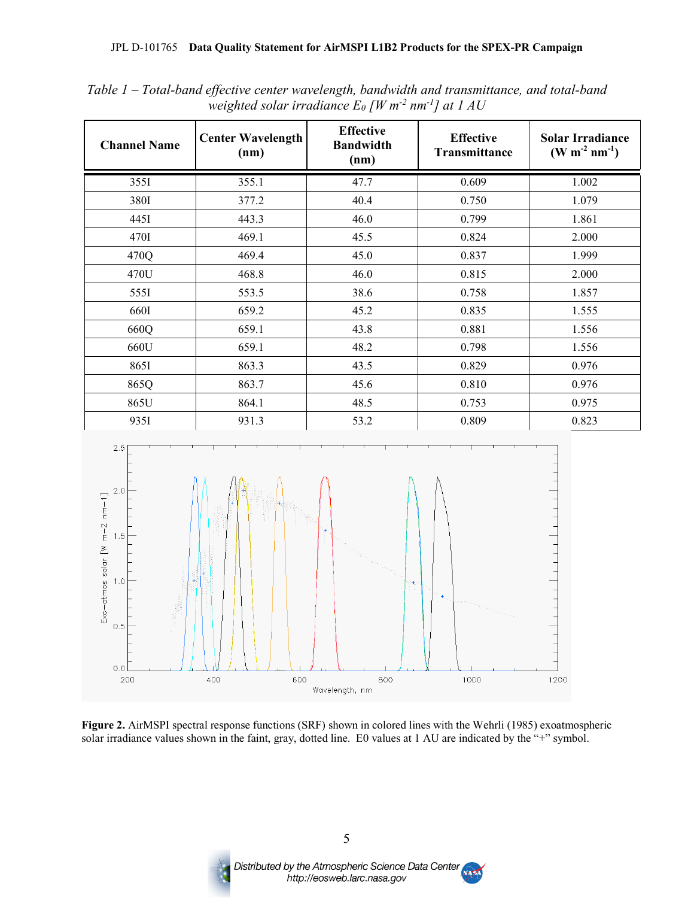| <b>Channel Name</b> | <b>Center Wavelength</b><br>(nm) | <b>Effective</b><br><b>Bandwidth</b><br>(nm) | <b>Effective</b><br>Transmittance | <b>Solar Irradiance</b><br>$(W m^{-2} nm^{-1})$ |
|---------------------|----------------------------------|----------------------------------------------|-----------------------------------|-------------------------------------------------|
| 355I                | 355.1                            | 47.7                                         | 0.609                             | 1.002                                           |
| 380I                | 377.2                            | 40.4                                         | 0.750                             | 1.079                                           |
| 4451                | 443.3                            | 46.0                                         | 0.799                             | 1.861                                           |
| 470I                | 469.1                            | 45.5                                         | 0.824                             | 2.000                                           |
| 470Q                | 469.4                            | 45.0                                         | 0.837                             | 1.999                                           |
| 470U                | 468.8                            | 46.0                                         | 0.815                             | 2.000                                           |
| 5551                | 553.5                            | 38.6                                         | 0.758                             | 1.857                                           |
| 660I                | 659.2                            | 45.2                                         | 0.835                             | 1.555                                           |
| 660Q                | 659.1                            | 43.8                                         | 0.881                             | 1.556                                           |
| 660U                | 659.1                            | 48.2                                         | 0.798                             | 1.556                                           |
| 8651                | 863.3                            | 43.5                                         | 0.829                             | 0.976                                           |
| 865Q                | 863.7                            | 45.6                                         | 0.810                             | 0.976                                           |
| 865U                | 864.1                            | 48.5                                         | 0.753                             | 0.975                                           |
| 935I                | 931.3                            | 53.2                                         | 0.809                             | 0.823                                           |

*Table 1 – Total-band effective center wavelength, bandwidth and transmittance, and total-band weighted solar irradiance E0 [W m-2 nm-1] at 1 AU*



**Figure 2.** AirMSPI spectral response functions (SRF) shown in colored lines with the Wehrli (1985) exoatmospheric solar irradiance values shown in the faint, gray, dotted line. E0 values at 1 AU are indicated by the "+" symbol.



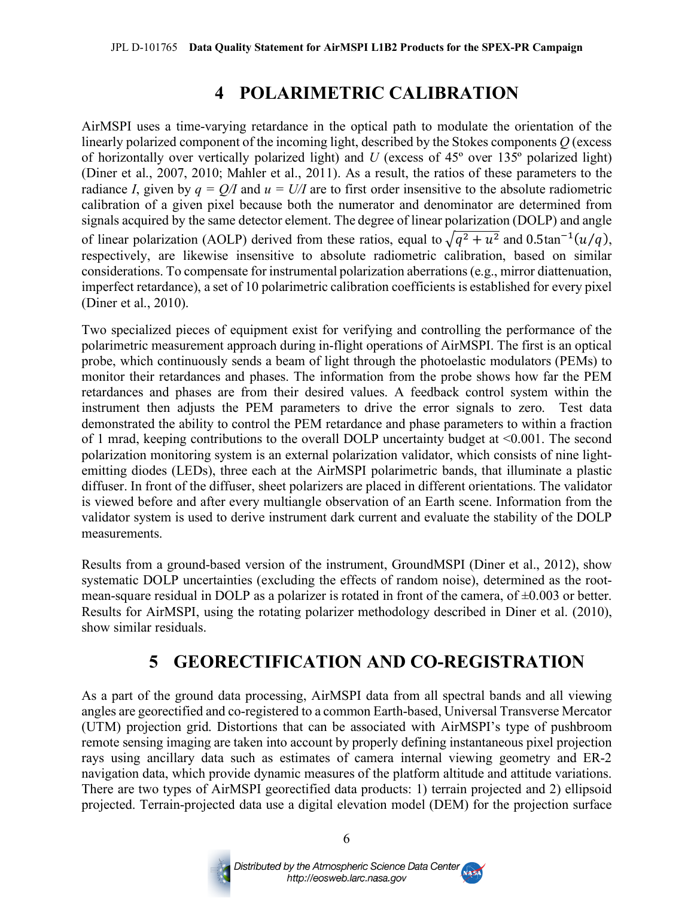### **4 POLARIMETRIC CALIBRATION**

AirMSPI uses a time-varying retardance in the optical path to modulate the orientation of the linearly polarized component of the incoming light, described by the Stokes components *Q* (excess of horizontally over vertically polarized light) and *U* (excess of 45º over 135º polarized light) (Diner et al., 2007, 2010; Mahler et al., 2011). As a result, the ratios of these parameters to the radiance *I*, given by  $q = Q/I$  and  $u = U/I$  are to first order insensitive to the absolute radiometric calibration of a given pixel because both the numerator and denominator are determined from signals acquired by the same detector element. The degree of linear polarization (DOLP) and angle of linear polarization (AOLP) derived from these ratios, equal to  $\sqrt{q^2 + u^2}$  and 0.5tan<sup>-1</sup>(u/q), respectively, are likewise insensitive to absolute radiometric calibration, based on similar considerations. To compensate for instrumental polarization aberrations (e.g., mirror diattenuation, imperfect retardance), a set of 10 polarimetric calibration coefficients is established for every pixel (Diner et al., 2010).

Two specialized pieces of equipment exist for verifying and controlling the performance of the polarimetric measurement approach during in-flight operations of AirMSPI. The first is an optical probe, which continuously sends a beam of light through the photoelastic modulators (PEMs) to monitor their retardances and phases. The information from the probe shows how far the PEM retardances and phases are from their desired values. A feedback control system within the instrument then adjusts the PEM parameters to drive the error signals to zero. Test data demonstrated the ability to control the PEM retardance and phase parameters to within a fraction of 1 mrad, keeping contributions to the overall DOLP uncertainty budget at <0.001. The second polarization monitoring system is an external polarization validator, which consists of nine lightemitting diodes (LEDs), three each at the AirMSPI polarimetric bands, that illuminate a plastic diffuser. In front of the diffuser, sheet polarizers are placed in different orientations. The validator is viewed before and after every multiangle observation of an Earth scene. Information from the validator system is used to derive instrument dark current and evaluate the stability of the DOLP measurements.

Results from a ground-based version of the instrument, GroundMSPI (Diner et al., 2012), show systematic DOLP uncertainties (excluding the effects of random noise), determined as the rootmean-square residual in DOLP as a polarizer is rotated in front of the camera, of ±0.003 or better. Results for AirMSPI, using the rotating polarizer methodology described in Diner et al. (2010), show similar residuals.

### **5 GEORECTIFICATION AND CO-REGISTRATION**

As a part of the ground data processing, AirMSPI data from all spectral bands and all viewing angles are georectified and co-registered to a common Earth-based, Universal Transverse Mercator (UTM) projection grid. Distortions that can be associated with AirMSPI's type of pushbroom remote sensing imaging are taken into account by properly defining instantaneous pixel projection rays using ancillary data such as estimates of camera internal viewing geometry and ER-2 navigation data, which provide dynamic measures of the platform altitude and attitude variations. There are two types of AirMSPI georectified data products: 1) terrain projected and 2) ellipsoid projected. Terrain-projected data use a digital elevation model (DEM) for the projection surface



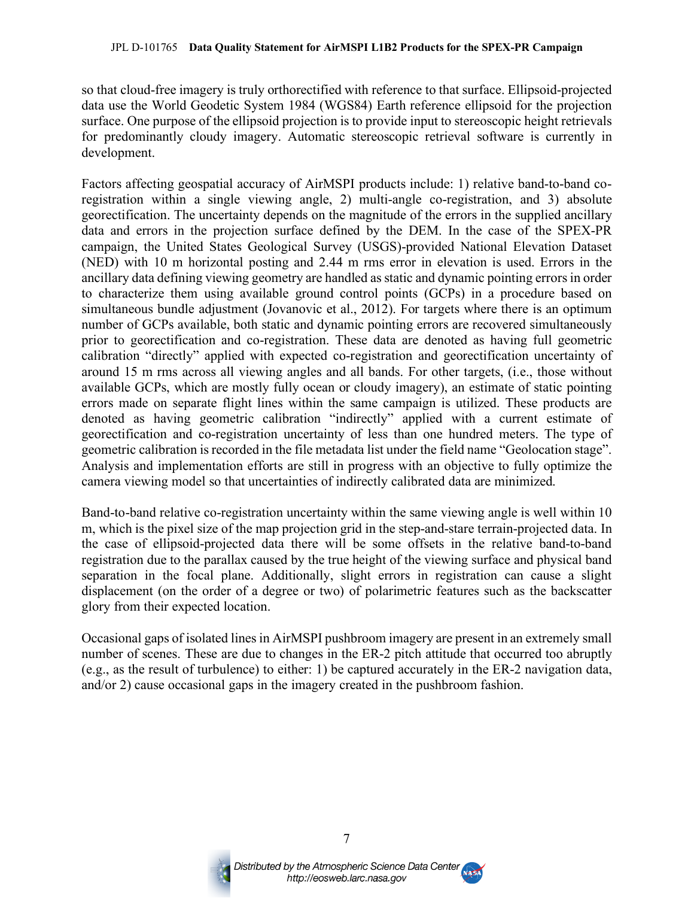so that cloud-free imagery is truly orthorectified with reference to that surface. Ellipsoid-projected data use the World Geodetic System 1984 (WGS84) Earth reference ellipsoid for the projection surface. One purpose of the ellipsoid projection is to provide input to stereoscopic height retrievals for predominantly cloudy imagery. Automatic stereoscopic retrieval software is currently in development.

Factors affecting geospatial accuracy of AirMSPI products include: 1) relative band-to-band coregistration within a single viewing angle, 2) multi-angle co-registration, and 3) absolute georectification. The uncertainty depends on the magnitude of the errors in the supplied ancillary data and errors in the projection surface defined by the DEM. In the case of the SPEX-PR campaign, the United States Geological Survey (USGS)-provided National Elevation Dataset (NED) with 10 m horizontal posting and 2.44 m rms error in elevation is used. Errors in the ancillary data defining viewing geometry are handled as static and dynamic pointing errors in order to characterize them using available ground control points (GCPs) in a procedure based on simultaneous bundle adjustment (Jovanovic et al., 2012). For targets where there is an optimum number of GCPs available, both static and dynamic pointing errors are recovered simultaneously prior to georectification and co-registration. These data are denoted as having full geometric calibration "directly" applied with expected co-registration and georectification uncertainty of around 15 m rms across all viewing angles and all bands. For other targets, (i.e., those without available GCPs, which are mostly fully ocean or cloudy imagery), an estimate of static pointing errors made on separate flight lines within the same campaign is utilized. These products are denoted as having geometric calibration "indirectly" applied with a current estimate of georectification and co-registration uncertainty of less than one hundred meters. The type of geometric calibration is recorded in the file metadata list under the field name "Geolocation stage". Analysis and implementation efforts are still in progress with an objective to fully optimize the camera viewing model so that uncertainties of indirectly calibrated data are minimized.

Band-to-band relative co-registration uncertainty within the same viewing angle is well within 10 m, which is the pixel size of the map projection grid in the step-and-stare terrain-projected data. In the case of ellipsoid-projected data there will be some offsets in the relative band-to-band registration due to the parallax caused by the true height of the viewing surface and physical band separation in the focal plane. Additionally, slight errors in registration can cause a slight displacement (on the order of a degree or two) of polarimetric features such as the backscatter glory from their expected location.

Occasional gaps of isolated lines in AirMSPI pushbroom imagery are present in an extremely small number of scenes. These are due to changes in the ER-2 pitch attitude that occurred too abruptly (e.g., as the result of turbulence) to either: 1) be captured accurately in the ER-2 navigation data, and/or 2) cause occasional gaps in the imagery created in the pushbroom fashion.



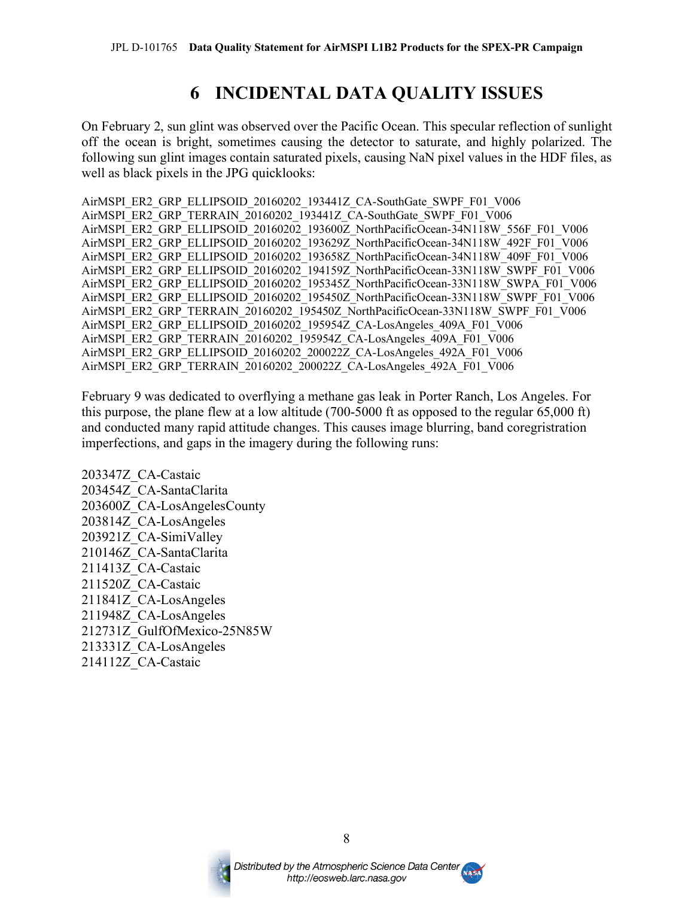### **6 INCIDENTAL DATA QUALITY ISSUES**

On February 2, sun glint was observed over the Pacific Ocean. This specular reflection of sunlight off the ocean is bright, sometimes causing the detector to saturate, and highly polarized. The following sun glint images contain saturated pixels, causing NaN pixel values in the HDF files, as well as black pixels in the JPG quicklooks:

AirMSPI\_ER2\_GRP\_ELLIPSOID\_20160202\_193441Z\_CA-SouthGate\_SWPF\_F01\_V006 AirMSPI\_ER2\_GRP\_TERRAIN\_20160202\_193441Z\_CA-SouthGate\_SWPF\_F01\_V006 AirMSPI\_ER2\_GRP\_ELLIPSOID\_20160202\_193600Z\_NorthPacificOcean-34N118W\_556F\_F01\_V006 AirMSPI\_ER2\_GRP\_ELLIPSOID\_20160202\_193629Z\_NorthPacificOcean-34N118W\_492F\_F01\_V006 AirMSPI\_ER2\_GRP\_ELLIPSOID\_20160202\_193658Z\_NorthPacificOcean-34N118W\_409F\_F01\_V006 AirMSPI\_ER2\_GRP\_ELLIPSOID\_20160202\_194159Z\_NorthPacificOcean-33N118W\_SWPF\_F01\_V006 AirMSPI\_ER2\_GRP\_ELLIPSOID\_20160202\_195345Z\_NorthPacificOcean-33N118W\_SWPA\_F01\_V006 AirMSPI\_ER2\_GRP\_ELLIPSOID\_20160202\_195450Z\_NorthPacificOcean-33N118W\_SWPF\_F01\_V006 AirMSPI\_ER2\_GRP\_TERRAIN\_20160202\_195450Z\_NorthPacificOcean-33N118W\_SWPF\_F01\_V006 AirMSPI\_ER2\_GRP\_ELLIPSOID\_20160202\_195954Z\_CA-LosAngeles\_409A\_F01\_V006 AirMSPI\_ER2\_GRP\_TERRAIN\_20160202\_195954Z\_CA-LosAngeles\_409A\_F01\_V006 AirMSPI\_ER2\_GRP\_ELLIPSOID\_20160202\_200022Z\_CA-LosAngeles\_492A\_F01\_V006 AirMSPI\_ER2\_GRP\_TERRAIN\_20160202\_200022Z\_CA-LosAngeles\_492A\_F01\_V006

February 9 was dedicated to overflying a methane gas leak in Porter Ranch, Los Angeles. For this purpose, the plane flew at a low altitude (700-5000 ft as opposed to the regular 65,000 ft) and conducted many rapid attitude changes. This causes image blurring, band coregristration imperfections, and gaps in the imagery during the following runs:

203347Z\_CA-Castaic 203454Z\_CA-SantaClarita 203600Z\_CA-LosAngelesCounty 203814Z\_CA-LosAngeles 203921Z\_CA-SimiValley 210146Z\_CA-SantaClarita 211413Z\_CA-Castaic 211520Z\_CA-Castaic 211841Z\_CA-LosAngeles 211948Z\_CA-LosAngeles 212731Z\_GulfOfMexico-25N85W 213331Z\_CA-LosAngeles 214112Z\_CA-Castaic



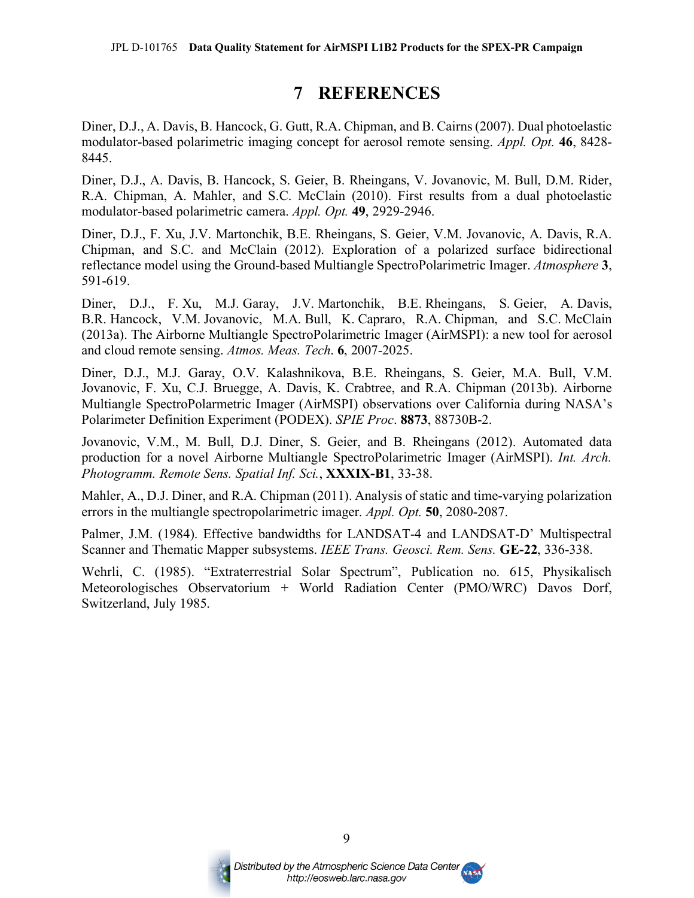### **7 REFERENCES**

Diner, D.J., A. Davis, B. Hancock, G. Gutt, R.A. Chipman, and B. Cairns(2007). Dual photoelastic modulator-based polarimetric imaging concept for aerosol remote sensing. *Appl. Opt.* **46**, 8428- 8445.

Diner, D.J., A. Davis, B. Hancock, S. Geier, B. Rheingans, V. Jovanovic, M. Bull, D.M. Rider, R.A. Chipman, A. Mahler, and S.C. McClain (2010). First results from a dual photoelastic modulator-based polarimetric camera. *Appl. Opt.* **49**, 2929-2946.

Diner, D.J., F. Xu, J.V. Martonchik, B.E. Rheingans, S. Geier, V.M. Jovanovic, A. Davis, R.A. Chipman, and S.C. and McClain (2012). Exploration of a polarized surface bidirectional reflectance model using the Ground-based Multiangle SpectroPolarimetric Imager. *Atmosphere* **3**, 591-619.

Diner, D.J., F. Xu, M.J. Garay, J.V. Martonchik, B.E. Rheingans, S. Geier, A. Davis, B.R. Hancock, V.M. Jovanovic, M.A. Bull, K. Capraro, R.A. Chipman, and S.C. McClain (2013a). The Airborne Multiangle SpectroPolarimetric Imager (AirMSPI): a new tool for aerosol and cloud remote sensing. *Atmos. Meas. Tech*. **6**, 2007-2025.

Diner, D.J., M.J. Garay, O.V. Kalashnikova, B.E. Rheingans, S. Geier, M.A. Bull, V.M. Jovanovic, F. Xu, C.J. Bruegge, A. Davis, K. Crabtree, and R.A. Chipman (2013b). Airborne Multiangle SpectroPolarmetric Imager (AirMSPI) observations over California during NASA's Polarimeter Definition Experiment (PODEX). *SPIE Proc*. **8873**, 88730B-2.

Jovanovic, V.M., M. Bull, D.J. Diner, S. Geier, and B. Rheingans (2012). Automated data production for a novel Airborne Multiangle SpectroPolarimetric Imager (AirMSPI). *Int. Arch. Photogramm. Remote Sens. Spatial Inf. Sci.*, **XXXIX-B1**, 33-38.

Mahler, A., D.J. Diner, and R.A. Chipman (2011). Analysis of static and time-varying polarization errors in the multiangle spectropolarimetric imager. *Appl. Opt.* **50**, 2080-2087.

Palmer, J.M. (1984). Effective bandwidths for LANDSAT-4 and LANDSAT-D' Multispectral Scanner and Thematic Mapper subsystems. *IEEE Trans. Geosci. Rem. Sens.* **GE-22**, 336-338.

Wehrli, C. (1985). "Extraterrestrial Solar Spectrum", Publication no. 615, Physikalisch Meteorologisches Observatorium + World Radiation Center (PMO/WRC) Davos Dorf, Switzerland, July 1985.



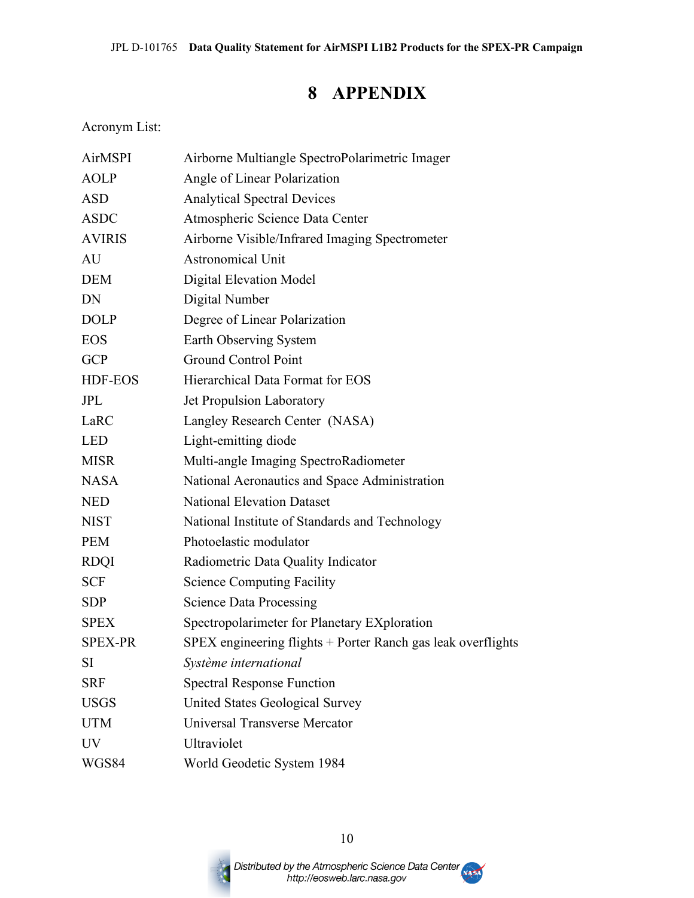### **8 APPENDIX**

Acronym List:

| <b>AirMSPI</b> | Airborne Multiangle SpectroPolarimetric Imager               |
|----------------|--------------------------------------------------------------|
| <b>AOLP</b>    | Angle of Linear Polarization                                 |
| <b>ASD</b>     | <b>Analytical Spectral Devices</b>                           |
| <b>ASDC</b>    | Atmospheric Science Data Center                              |
| <b>AVIRIS</b>  | Airborne Visible/Infrared Imaging Spectrometer               |
| AU             | <b>Astronomical Unit</b>                                     |
| <b>DEM</b>     | Digital Elevation Model                                      |
| DN             | Digital Number                                               |
| <b>DOLP</b>    | Degree of Linear Polarization                                |
| <b>EOS</b>     | Earth Observing System                                       |
| <b>GCP</b>     | <b>Ground Control Point</b>                                  |
| HDF-EOS        | Hierarchical Data Format for EOS                             |
| <b>JPL</b>     | Jet Propulsion Laboratory                                    |
| LaRC           | Langley Research Center (NASA)                               |
| <b>LED</b>     | Light-emitting diode                                         |
| <b>MISR</b>    | Multi-angle Imaging SpectroRadiometer                        |
| <b>NASA</b>    | National Aeronautics and Space Administration                |
| <b>NED</b>     | <b>National Elevation Dataset</b>                            |
| <b>NIST</b>    | National Institute of Standards and Technology               |
| <b>PEM</b>     | Photoelastic modulator                                       |
| <b>RDQI</b>    | Radiometric Data Quality Indicator                           |
| <b>SCF</b>     | <b>Science Computing Facility</b>                            |
| <b>SDP</b>     | <b>Science Data Processing</b>                               |
| <b>SPEX</b>    | Spectropolarimeter for Planetary EXploration                 |
| <b>SPEX-PR</b> | SPEX engineering flights + Porter Ranch gas leak overflights |
| SI             | Système international                                        |
| <b>SRF</b>     | <b>Spectral Response Function</b>                            |
| <b>USGS</b>    | United States Geological Survey                              |
| <b>UTM</b>     | Universal Transverse Mercator                                |
| <b>UV</b>      | Ultraviolet                                                  |
| WGS84          | World Geodetic System 1984                                   |